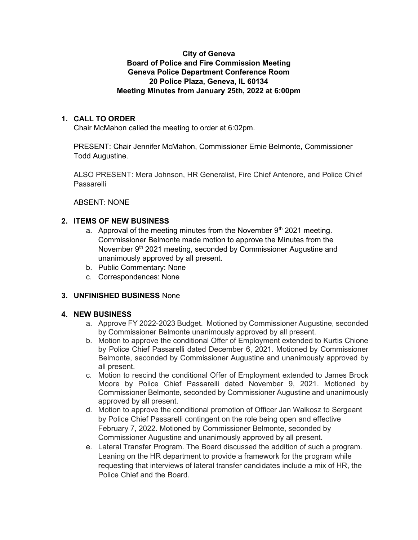## City of Geneva Board of Police and Fire Commission Meeting Geneva Police Department Conference Room 20 Police Plaza, Geneva, IL 60134 Meeting Minutes from January 25th, 2022 at 6:00pm

# 1. CALL TO ORDER

Chair McMahon called the meeting to order at 6:02pm.

PRESENT: Chair Jennifer McMahon, Commissioner Ernie Belmonte, Commissioner Todd Augustine.

ALSO PRESENT: Mera Johnson, HR Generalist, Fire Chief Antenore, and Police Chief Passarelli

ABSENT: NONE

## 2. ITEMS OF NEW BUSINESS

- a. Approval of the meeting minutes from the November  $9<sup>th</sup>$  2021 meeting. Commissioner Belmonte made motion to approve the Minutes from the November 9<sup>th</sup> 2021 meeting, seconded by Commissioner Augustine and unanimously approved by all present.
- b. Public Commentary: None
- c. Correspondences: None

#### 3. UNFINISHED BUSINESS None

#### 4. NEW BUSINESS

- a. Approve FY 2022-2023 Budget. Motioned by Commissioner Augustine, seconded by Commissioner Belmonte unanimously approved by all present.
- b. Motion to approve the conditional Offer of Employment extended to Kurtis Chione by Police Chief Passarelli dated December 6, 2021. Motioned by Commissioner Belmonte, seconded by Commissioner Augustine and unanimously approved by all present.
- c. Motion to rescind the conditional Offer of Employment extended to James Brock Moore by Police Chief Passarelli dated November 9, 2021. Motioned by Commissioner Belmonte, seconded by Commissioner Augustine and unanimously approved by all present.
- d. Motion to approve the conditional promotion of Officer Jan Walkosz to Sergeant by Police Chief Passarelli contingent on the role being open and effective February 7, 2022. Motioned by Commissioner Belmonte, seconded by Commissioner Augustine and unanimously approved by all present.
- e. Lateral Transfer Program. The Board discussed the addition of such a program. Leaning on the HR department to provide a framework for the program while requesting that interviews of lateral transfer candidates include a mix of HR, the Police Chief and the Board.